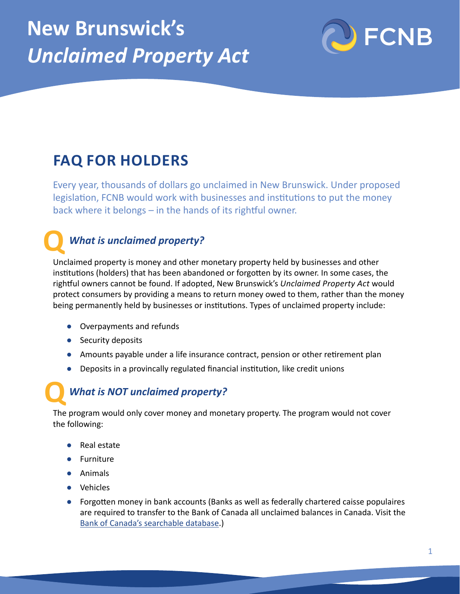

# **FAQ FOR HOLDERS**

Every year, thousands of dollars go unclaimed in New Brunswick. Under proposed legislation, FCNB would work with businesses and institutions to put the money back where it belongs – in the hands of its rightful owner.

#### *What is unclaimed property?*

Unclaimed property is money and other monetary property held by businesses and other institutions (holders) that has been abandoned or forgotten by its owner. In some cases, the rightful owners cannot be found. If adopted, New Brunswick's *Unclaimed Property Act* would protect consumers by providing a means to return money owed to them, rather than the money being permanently held by businesses or institutions. Types of unclaimed property include: **Q**

- **●** Overpayments and refunds
- **●** Security deposits
- **●** Amounts payable under a life insurance contract, pension or other retirement plan
- **●** Deposits in a provincally regulated financial institution, like credit unions

#### *What is NOT unclaimed property?*

The program would only cover money and monetary property. The program would not cover the following: **Q**

- **●** Real estate
- **●** Furniture
- **●** Animals
- **●** Vehicles
- **●** Forgotten money in bank accounts (Banks as well as federally chartered caisse populaires are required to transfer to the Bank of Canada all unclaimed balances in Canada. Visit the [Bank of Canada's searchable database](https://www.bankofcanada.ca/unclaimed-balances/).)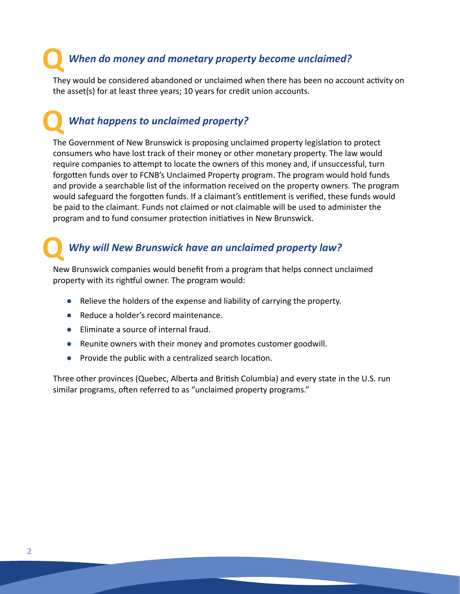### *When do money and monetary property become unclaimed?* **Q**

They would be considered abandoned or unclaimed when there has been no account activity on the asset(s) for at least three years; 10 years for credit union accounts.

### *What happens to unclaimed property?* **Q**

The Government of New Brunswick is proposing unclaimed property legislation to protect consumers who have lost track of their money or other monetary property. The law would require companies to attempt to locate the owners of this money and, if unsuccessful, turn forgotten funds over to FCNB's Unclaimed Property program. The program would hold funds and provide a searchable list of the information received on the property owners. The program would safeguard the forgotten funds. If a claimant's entitlement is verified, these funds would be paid to the claimant. Funds not claimed or not claimable will be used to administer the program and to fund consumer protection initiatives in New Brunswick.

## *Why will New Brunswick have an unclaimed property law?*

New Brunswick companies would benefit from a program that helps connect unclaimed property with its rightful owner. The program would: **Q**

- **●** Relieve the holders of the expense and liability of carrying the property.
- **●** Reduce a holder's record maintenance.
- **●** Eliminate a source of internal fraud.
- **●** Reunite owners with their money and promotes customer goodwill.
- **●** Provide the public with a centralized search location.

Three other provinces (Quebec, Alberta and British Columbia) and every state in the U.S. run similar programs, often referred to as "unclaimed property programs."